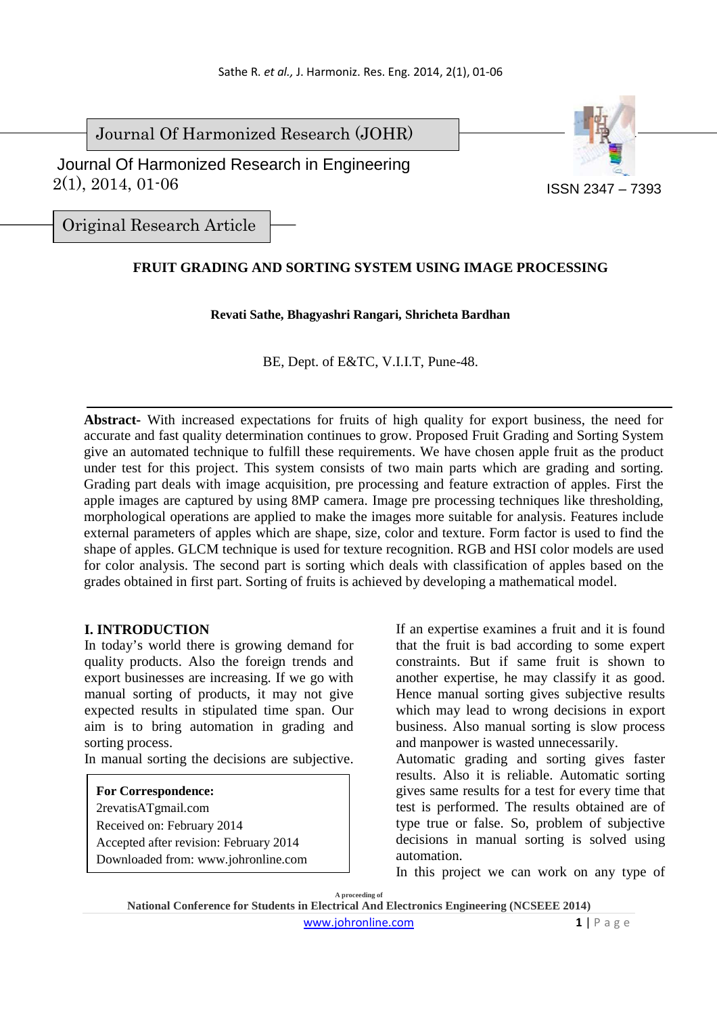Journal Of Harmonized Research (JOHR)

 2(1), 2014, 01-06 Journal Of Harmonized Research in Engineering



Original Research Article

# **FRUIT GRADING AND SORTING SYSTEM USING IMAGE PROCESSING**

## **Revati Sathe, Bhagyashri Rangari, Shricheta Bardhan**

BE, Dept. of E&TC, V.I.I.T, Pune-48.

**Abstract-** With increased expectations for fruits of high quality for export business, the need for accurate and fast quality determination continues to grow. Proposed Fruit Grading and Sorting System give an automated technique to fulfill these requirements. We have chosen apple fruit as the product under test for this project. This system consists of two main parts which are grading and sorting. Grading part deals with image acquisition, pre processing and feature extraction of apples. First the apple images are captured by using 8MP camera. Image pre processing techniques like thresholding, morphological operations are applied to make the images more suitable for analysis. Features include external parameters of apples which are shape, size, color and texture. Form factor is used to find the shape of apples. GLCM technique is used for texture recognition. RGB and HSI color models are used for color analysis. The second part is sorting which deals with classification of apples based on the grades obtained in first part. Sorting of fruits is achieved by developing a mathematical model.

### **I. INTRODUCTION**

In today's world there is growing demand for quality products. Also the foreign trends and export businesses are increasing. If we go with manual sorting of products, it may not give expected results in stipulated time span. Our aim is to bring automation in grading and sorting process.

In manual sorting the decisions are subjective.

### **For Correspondence:**

2revatisATgmail.com Received on: February 2014 Accepted after revision: February 2014

Downloaded from: www.johronline.com

If an expertise examines a fruit and it is found that the fruit is bad according to some expert constraints. But if same fruit is shown to another expertise, he may classify it as good. Hence manual sorting gives subjective results which may lead to wrong decisions in export business. Also manual sorting is slow process and manpower is wasted unnecessarily.

Automatic grading and sorting gives faster results. Also it is reliable. Automatic sorting gives same results for a test for every time that test is performed. The results obtained are of type true or false. So, problem of subjective decisions in manual sorting is solved using automation.

In this project we can work on any type of

**A proceeding of**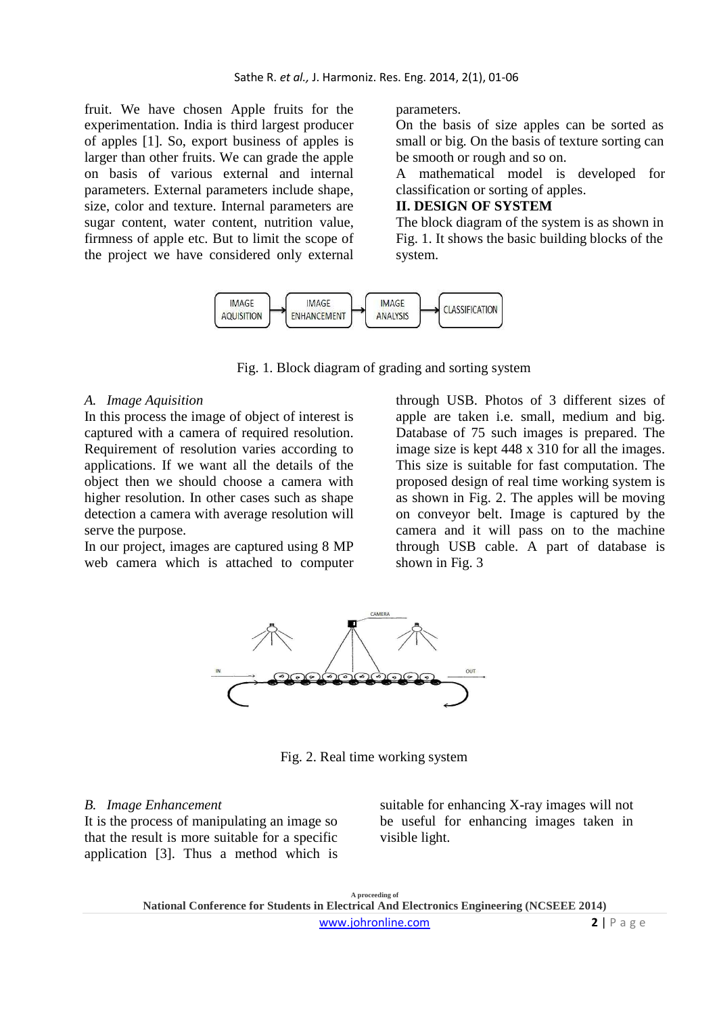fruit. We have chosen Apple fruits for the experimentation. India is third largest producer of apples [1]. So, export business of apples is larger than other fruits. We can grade the apple on basis of various external and internal parameters. External parameters include shape, size, color and texture. Internal parameters are sugar content, water content, nutrition value, firmness of apple etc. But to limit the scope of the project we have considered only external

parameters.

On the basis of size apples can be sorted as small or big. On the basis of texture sorting can be smooth or rough and so on.

A mathematical model is developed for classification or sorting of apples.

## **II. DESIGN OF SYSTEM**

The block diagram of the system is as shown in Fig. 1. It shows the basic building blocks of the system.



Fig. 1. Block diagram of grading and sorting system

#### *A. Image Aquisition*

In this process the image of object of interest is captured with a camera of required resolution. Requirement of resolution varies according to applications. If we want all the details of the object then we should choose a camera with higher resolution. In other cases such as shape detection a camera with average resolution will serve the purpose.

In our project, images are captured using 8 MP web camera which is attached to computer

through USB. Photos of 3 different sizes of apple are taken i.e. small, medium and big. Database of 75 such images is prepared. The image size is kept 448 x 310 for all the images. This size is suitable for fast computation. The proposed design of real time working system is as shown in Fig. 2. The apples will be moving on conveyor belt. Image is captured by the camera and it will pass on to the machine through USB cable. A part of database is shown in Fig. 3



Fig. 2. Real time working system

### *B. Image Enhancement*

It is the process of manipulating an image so that the result is more suitable for a specific application [3]. Thus a method which is

suitable for enhancing X-ray images will not be useful for enhancing images taken in visible light.

**A proceeding of National Conference for Students in Electrical And Electronics Engineering (NCSEEE 2014)**  www.johronline.com **2** | P a g e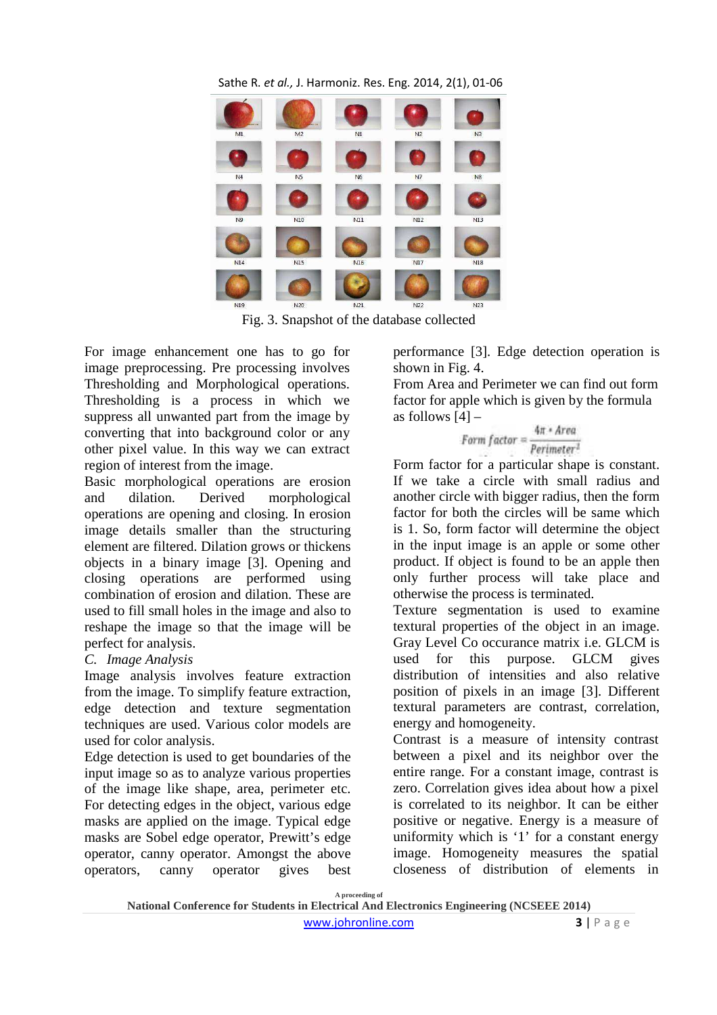

Fig. 3. Snapshot of the database collected

For image enhancement one has to go for image preprocessing. Pre processing involves Thresholding and Morphological operations. Thresholding is a process in which we suppress all unwanted part from the image by converting that into background color or any other pixel value. In this way we can extract region of interest from the image.

Basic morphological operations are erosion and dilation. Derived morphological operations are opening and closing. In erosion image details smaller than the structuring element are filtered. Dilation grows or thickens objects in a binary image [3]. Opening and closing operations are performed using combination of erosion and dilation. These are used to fill small holes in the image and also to reshape the image so that the image will be perfect for analysis.

# *C. Image Analysis*

Image analysis involves feature extraction from the image. To simplify feature extraction, edge detection and texture segmentation techniques are used. Various color models are used for color analysis.

Edge detection is used to get boundaries of the input image so as to analyze various properties of the image like shape, area, perimeter etc. For detecting edges in the object, various edge masks are applied on the image. Typical edge masks are Sobel edge operator, Prewitt's edge operator, canny operator. Amongst the above operators, canny operator gives best performance [3]. Edge detection operation is shown in Fig. 4.

From Area and Perimeter we can find out form factor for apple which is given by the formula as follows  $[4]$  –

$$
Form\ factor = \frac{4\pi * Area}{Perimeter^2}
$$

Form factor for a particular shape is constant. If we take a circle with small radius and another circle with bigger radius, then the form factor for both the circles will be same which is 1. So, form factor will determine the object in the input image is an apple or some other product. If object is found to be an apple then only further process will take place and otherwise the process is terminated.

Texture segmentation is used to examine textural properties of the object in an image. Gray Level Co occurance matrix i.e. GLCM is used for this purpose. GLCM gives distribution of intensities and also relative position of pixels in an image [3]. Different textural parameters are contrast, correlation, energy and homogeneity.

Contrast is a measure of intensity contrast between a pixel and its neighbor over the entire range. For a constant image, contrast is zero. Correlation gives idea about how a pixel is correlated to its neighbor. It can be either positive or negative. Energy is a measure of uniformity which is '1' for a constant energy image. Homogeneity measures the spatial closeness of distribution of elements in

**A proceeding of** 

www.johronline.com **3** | P a g e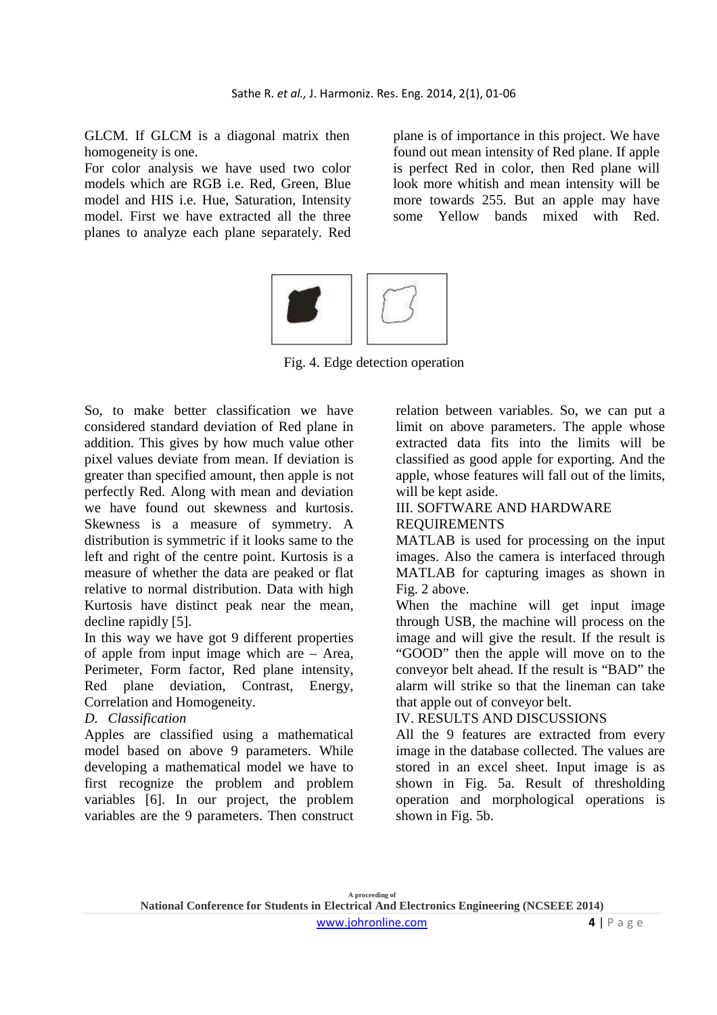GLCM. If GLCM is a diagonal matrix then homogeneity is one.

For color analysis we have used two color models which are RGB i.e. Red, Green, Blue model and HIS i.e. Hue, Saturation, Intensity model. First we have extracted all the three planes to analyze each plane separately. Red plane is of importance in this project. We have found out mean intensity of Red plane. If apple is perfect Red in color, then Red plane will look more whitish and mean intensity will be more towards 255. But an apple may have some Yellow bands mixed with Red.



Fig. 4. Edge detection operation

So, to make better classification we have considered standard deviation of Red plane in addition. This gives by how much value other pixel values deviate from mean. If deviation is greater than specified amount, then apple is not perfectly Red. Along with mean and deviation we have found out skewness and kurtosis. Skewness is a measure of symmetry. A distribution is symmetric if it looks same to the left and right of the centre point. Kurtosis is a measure of whether the data are peaked or flat relative to normal distribution. Data with high Kurtosis have distinct peak near the mean, decline rapidly [5].

In this way we have got 9 different properties of apple from input image which are – Area, Perimeter, Form factor, Red plane intensity, Red plane deviation, Contrast, Energy, Correlation and Homogeneity.

# *D. Classification*

Apples are classified using a mathematical model based on above 9 parameters. While developing a mathematical model we have to first recognize the problem and problem variables [6]. In our project, the problem variables are the 9 parameters. Then construct relation between variables. So, we can put a limit on above parameters. The apple whose extracted data fits into the limits will be classified as good apple for exporting. And the apple, whose features will fall out of the limits, will be kept aside.

### III. SOFTWARE AND HARDWARE REQUIREMENTS

MATLAB is used for processing on the input images. Also the camera is interfaced through MATLAB for capturing images as shown in Fig. 2 above.

When the machine will get input image through USB, the machine will process on the image and will give the result. If the result is "GOOD" then the apple will move on to the conveyor belt ahead. If the result is "BAD" the alarm will strike so that the lineman can take that apple out of conveyor belt.

# IV. RESULTS AND DISCUSSIONS

All the 9 features are extracted from every image in the database collected. The values are stored in an excel sheet. Input image is as shown in Fig. 5a. Result of thresholding operation and morphological operations is shown in Fig. 5b.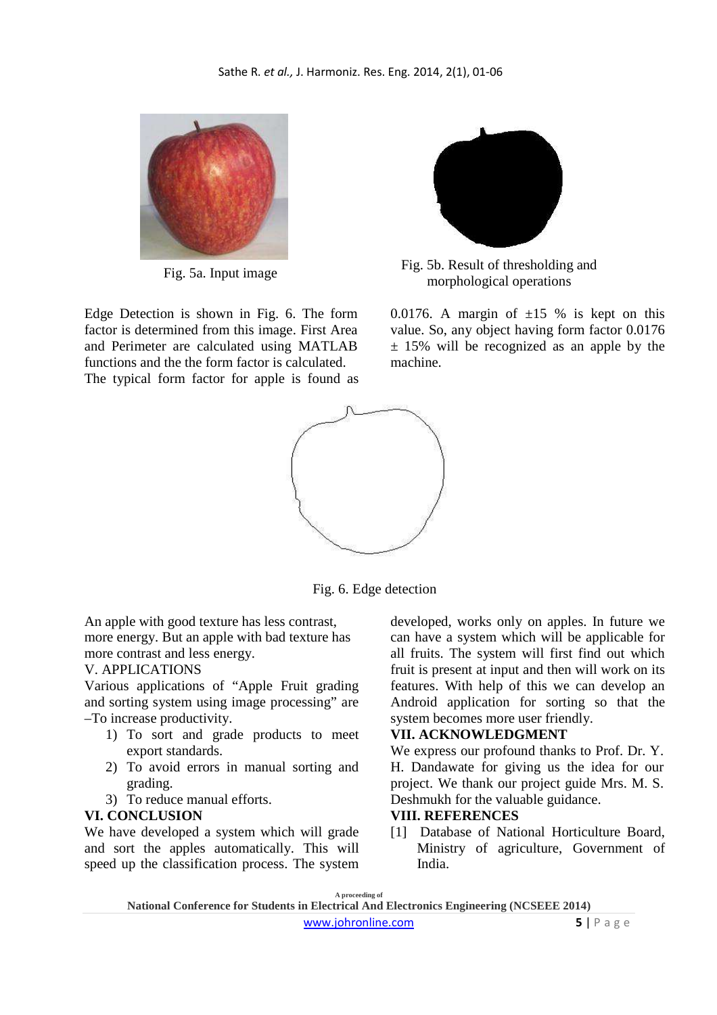

Edge Detection is shown in Fig. 6. The form factor is determined from this image. First Area and Perimeter are calculated using MATLAB functions and the the form factor is calculated. The typical form factor for apple is found as



Fig. 5b. Result of thresholding and Fig. 5a. Input image Fig. 5b. Result of the shoting morphological operations

0.0176. A margin of  $\pm 15$  % is kept on this value. So, any object having form factor 0.0176  $\pm$  15% will be recognized as an apple by the machine.



Fig. 6. Edge detection

An apple with good texture has less contrast, more energy. But an apple with bad texture has more contrast and less energy.

## V. APPLICATIONS

Various applications of "Apple Fruit grading and sorting system using image processing" are –To increase productivity.

- 1) To sort and grade products to meet export standards.
- 2) To avoid errors in manual sorting and grading.
- 3) To reduce manual efforts.

### **VI. CONCLUSION**

We have developed a system which will grade and sort the apples automatically. This will speed up the classification process. The system developed, works only on apples. In future we can have a system which will be applicable for all fruits. The system will first find out which fruit is present at input and then will work on its features. With help of this we can develop an Android application for sorting so that the system becomes more user friendly.

### **VII. ACKNOWLEDGMENT**

We express our profound thanks to Prof. Dr. Y. H. Dandawate for giving us the idea for our project. We thank our project guide Mrs. M. S. Deshmukh for the valuable guidance.

### **VIII. REFERENCES**

[1] Database of National Horticulture Board, Ministry of agriculture, Government of India.

**A proceeding of National Conference for Students in Electrical And Electronics Engineering (NCSEEE 2014)**  www.johronline.com **5** | P a g e